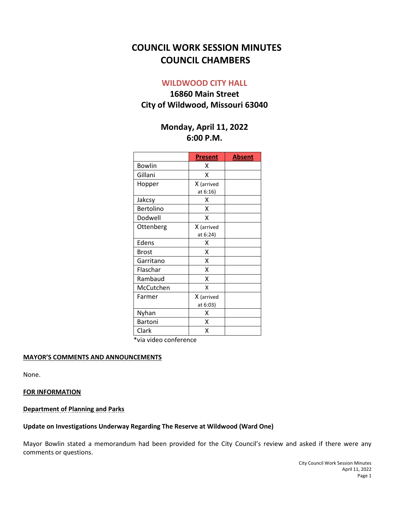# **COUNCIL WORK SESSION MINUTES COUNCIL CHAMBERS**

## **WILDWOOD CITY HALL**

## **16860 Main Street City of Wildwood, Missouri 63040**

## **Monday, April 11, 2022 6:00 P.M.**

|               | <b>Present</b> | <b>Absent</b> |
|---------------|----------------|---------------|
| <b>Bowlin</b> | x              |               |
| Gillani       | x              |               |
| Hopper        | X (arrived     |               |
|               | at 6:16)       |               |
| Jakcsy        | x              |               |
| Bertolino     | Χ              |               |
| Dodwell       | Χ              |               |
| Ottenberg     | X (arrived     |               |
|               | at 6:24)       |               |
| Edens         | Χ              |               |
| <b>Brost</b>  | x              |               |
| Garritano     | Χ              |               |
| Flaschar      | Χ              |               |
| Rambaud       | X              |               |
| McCutchen     | X              |               |
| Farmer        | X (arrived     |               |
|               | at 6:03)       |               |
| Nyhan         | Χ              |               |
| Bartoni       | Χ              |               |
| Clark         | χ              |               |

\*via video conference

#### **MAYOR'S COMMENTS AND ANNOUNCEMENTS**

None.

#### **FOR INFORMATION**

#### **Department of Planning and Parks**

#### **Update on Investigations Underway Regarding The Reserve at Wildwood (Ward One)**

Mayor Bowlin stated a memorandum had been provided for the City Council's review and asked if there were any comments or questions.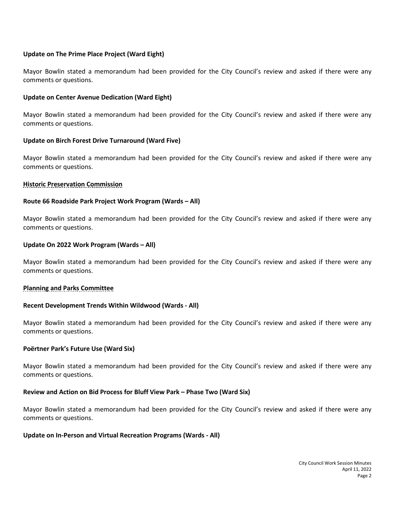#### **Update on The Prime Place Project (Ward Eight)**

Mayor Bowlin stated a memorandum had been provided for the City Council's review and asked if there were any comments or questions.

#### **Update on Center Avenue Dedication (Ward Eight)**

Mayor Bowlin stated a memorandum had been provided for the City Council's review and asked if there were any comments or questions.

### **Update on Birch Forest Drive Turnaround (Ward Five)**

Mayor Bowlin stated a memorandum had been provided for the City Council's review and asked if there were any comments or questions.

### **Historic Preservation Commission**

### **Route 66 Roadside Park Project Work Program (Wards – All)**

Mayor Bowlin stated a memorandum had been provided for the City Council's review and asked if there were any comments or questions.

### **Update On 2022 Work Program (Wards – All)**

Mayor Bowlin stated a memorandum had been provided for the City Council's review and asked if there were any comments or questions.

#### **Planning and Parks Committee**

#### **Recent Development Trends Within Wildwood (Wards - All)**

Mayor Bowlin stated a memorandum had been provided for the City Council's review and asked if there were any comments or questions.

#### **Poërtner Park's Future Use (Ward Six)**

Mayor Bowlin stated a memorandum had been provided for the City Council's review and asked if there were any comments or questions.

#### **Review and Action on Bid Process for Bluff View Park – Phase Two (Ward Six)**

Mayor Bowlin stated a memorandum had been provided for the City Council's review and asked if there were any comments or questions.

#### **Update on In-Person and Virtual Recreation Programs (Wards - All)**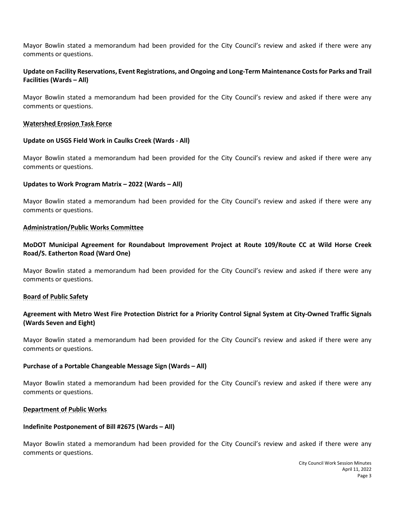Mayor Bowlin stated a memorandum had been provided for the City Council's review and asked if there were any comments or questions.

## **Update on Facility Reservations, Event Registrations, and Ongoing and Long-Term Maintenance Costs for Parks and Trail Facilities (Wards – All)**

Mayor Bowlin stated a memorandum had been provided for the City Council's review and asked if there were any comments or questions.

#### **Watershed Erosion Task Force**

#### **Update on USGS Field Work in Caulks Creek (Wards - All)**

Mayor Bowlin stated a memorandum had been provided for the City Council's review and asked if there were any comments or questions.

### **Updates to Work Program Matrix – 2022 (Wards – All)**

Mayor Bowlin stated a memorandum had been provided for the City Council's review and asked if there were any comments or questions.

### **Administration/Public Works Committee**

## **MoDOT Municipal Agreement for Roundabout Improvement Project at Route 109/Route CC at Wild Horse Creek Road/S. Eatherton Road (Ward One)**

Mayor Bowlin stated a memorandum had been provided for the City Council's review and asked if there were any comments or questions.

## **Board of Public Safety**

## **Agreement with Metro West Fire Protection District for a Priority Control Signal System at City-Owned Traffic Signals (Wards Seven and Eight)**

Mayor Bowlin stated a memorandum had been provided for the City Council's review and asked if there were any comments or questions.

#### **Purchase of a Portable Changeable Message Sign (Wards – All)**

Mayor Bowlin stated a memorandum had been provided for the City Council's review and asked if there were any comments or questions.

## **Department of Public Works**

#### **Indefinite Postponement of Bill #2675 (Wards – All)**

Mayor Bowlin stated a memorandum had been provided for the City Council's review and asked if there were any comments or questions.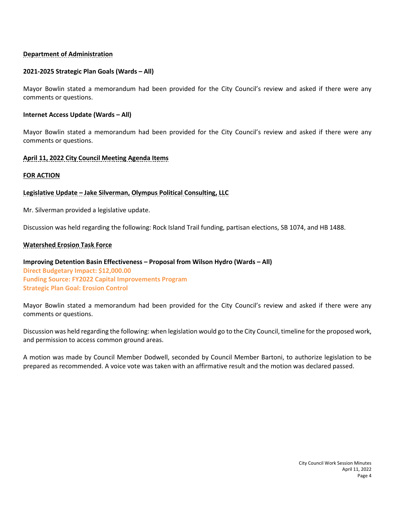## **Department of Administration**

#### **2021-2025 Strategic Plan Goals (Wards – All)**

Mayor Bowlin stated a memorandum had been provided for the City Council's review and asked if there were any comments or questions.

#### **Internet Access Update (Wards – All)**

Mayor Bowlin stated a memorandum had been provided for the City Council's review and asked if there were any comments or questions.

### **April 11, 2022 City Council Meeting Agenda Items**

#### **FOR ACTION**

## **Legislative Update – Jake Silverman, Olympus Political Consulting, LLC**

Mr. Silverman provided a legislative update.

Discussion was held regarding the following: Rock Island Trail funding, partisan elections, SB 1074, and HB 1488.

### **Watershed Erosion Task Force**

**Improving Detention Basin Effectiveness – Proposal from Wilson Hydro (Wards – All) Direct Budgetary Impact: \$12,000.00 Funding Source: FY2022 Capital Improvements Program Strategic Plan Goal: Erosion Control**

Mayor Bowlin stated a memorandum had been provided for the City Council's review and asked if there were any comments or questions.

Discussion was held regarding the following: when legislation would go to the City Council, timeline for the proposed work, and permission to access common ground areas.

A motion was made by Council Member Dodwell, seconded by Council Member Bartoni, to authorize legislation to be prepared as recommended. A voice vote was taken with an affirmative result and the motion was declared passed.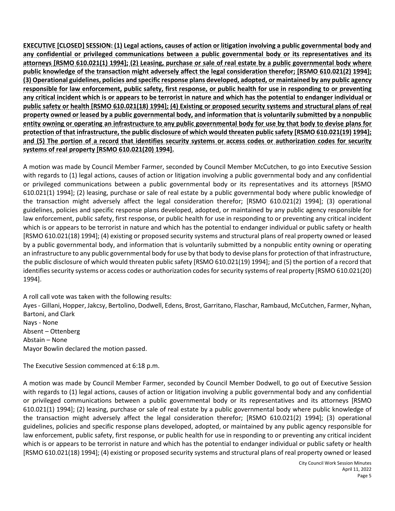**EXECUTIVE [CLOSED] SESSION: (1) Legal actions, causes of action or litigation involving a public governmental body and any confidential or privileged communications between a public governmental body or its representatives and its attorneys [RSMO 610.021(1) 1994]; (2) Leasing, purchase or sale of real estate by a public governmental body where public knowledge of the transaction might adversely affect the legal consideration therefor; [RSMO 610.021(2) 1994]; (3) Operational guidelines, policies and specific response plans developed, adopted, or maintained by any public agency responsible for law enforcement, public safety, first response, or public health for use in responding to or preventing any critical incident which is or appears to be terrorist in nature and which has the potential to endanger individual or public safety or health [RSMO 610.021(18) 1994]; (4) Existing or proposed security systems and structural plans of real property owned or leased by a public governmental body, and information that is voluntarily submitted by a nonpublic entity owning or operating an infrastructure to any public governmental body for use by that body to devise plans for protection of that infrastructure, the public disclosure of which would threaten public safety [RSMO 610.021(19) 1994]; and (5) The portion of a record that identifies security systems or access codes or authorization codes for security systems of real property [RSMO 610.021(20) 1994].**

A motion was made by Council Member Farmer, seconded by Council Member McCutchen, to go into Executive Session with regards to (1) legal actions, causes of action or litigation involving a public governmental body and any confidential or privileged communications between a public governmental body or its representatives and its attorneys [RSMO 610.021(1) 1994]; (2) leasing, purchase or sale of real estate by a public governmental body where public knowledge of the transaction might adversely affect the legal consideration therefor; [RSMO 610.021(2) 1994]; (3) operational guidelines, policies and specific response plans developed, adopted, or maintained by any public agency responsible for law enforcement, public safety, first response, or public health for use in responding to or preventing any critical incident which is or appears to be terrorist in nature and which has the potential to endanger individual or public safety or health [RSMO 610.021(18) 1994]; (4) existing or proposed security systems and structural plans of real property owned or leased by a public governmental body, and information that is voluntarily submitted by a nonpublic entity owning or operating an infrastructure to any public governmental body for use by that body to devise plans for protection of that infrastructure, the public disclosure of which would threaten public safety [RSMO 610.021(19) 1994]; and (5) the portion of a record that identifies security systems or access codes or authorization codes for security systems of real property [RSMO 610.021(20) 1994].

A roll call vote was taken with the following results: Ayes - Gillani, Hopper, Jakcsy, Bertolino, Dodwell, Edens, Brost, Garritano, Flaschar, Rambaud, McCutchen, Farmer, Nyhan, Bartoni, and Clark Nays - None Absent – Ottenberg Abstain – None Mayor Bowlin declared the motion passed.

The Executive Session commenced at 6:18 p.m.

A motion was made by Council Member Farmer, seconded by Council Member Dodwell, to go out of Executive Session with regards to (1) legal actions, causes of action or litigation involving a public governmental body and any confidential or privileged communications between a public governmental body or its representatives and its attorneys [RSMO 610.021(1) 1994]; (2) leasing, purchase or sale of real estate by a public governmental body where public knowledge of the transaction might adversely affect the legal consideration therefor; [RSMO 610.021(2) 1994]; (3) operational guidelines, policies and specific response plans developed, adopted, or maintained by any public agency responsible for law enforcement, public safety, first response, or public health for use in responding to or preventing any critical incident which is or appears to be terrorist in nature and which has the potential to endanger individual or public safety or health [RSMO 610.021(18) 1994]; (4) existing or proposed security systems and structural plans of real property owned or leased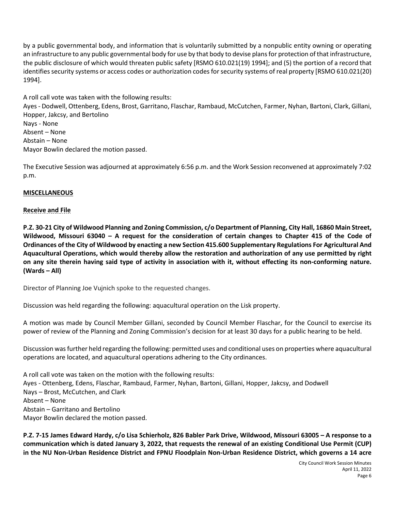by a public governmental body, and information that is voluntarily submitted by a nonpublic entity owning or operating an infrastructure to any public governmental body for use by that body to devise plans for protection of that infrastructure, the public disclosure of which would threaten public safety [RSMO 610.021(19) 1994]; and (5) the portion of a record that identifies security systems or access codes or authorization codes for security systems of real property [RSMO 610.021(20) 1994].

A roll call vote was taken with the following results:

Ayes - Dodwell, Ottenberg, Edens, Brost, Garritano, Flaschar, Rambaud, McCutchen, Farmer, Nyhan, Bartoni, Clark, Gillani, Hopper, Jakcsy, and Bertolino Nays - None Absent – None Abstain – None Mayor Bowlin declared the motion passed.

The Executive Session was adjourned at approximately 6:56 p.m. and the Work Session reconvened at approximately 7:02 p.m.

## **MISCELLANEOUS**

### **Receive and File**

**P.Z. 30-21 City of Wildwood Planning and Zoning Commission, c/o Department of Planning, City Hall, 16860 Main Street, Wildwood, Missouri 63040 – A request for the consideration of certain changes to Chapter 415 of the Code of Ordinances of the City of Wildwood by enacting a new Section 415.600 Supplementary Regulations For Agricultural And Aquacultural Operations, which would thereby allow the restoration and authorization of any use permitted by right on any site therein having said type of activity in association with it, without effecting its non-conforming nature. (Wards – All)** 

Director of Planning Joe Vujnich spoke to the requested changes.

Discussion was held regarding the following: aquacultural operation on the Lisk property.

A motion was made by Council Member Gillani, seconded by Council Member Flaschar, for the Council to exercise its power of review of the Planning and Zoning Commission's decision for at least 30 days for a public hearing to be held.

Discussion was further held regarding the following: permitted uses and conditional uses on properties where aquacultural operations are located, and aquacultural operations adhering to the City ordinances.

A roll call vote was taken on the motion with the following results: Ayes - Ottenberg, Edens, Flaschar, Rambaud, Farmer, Nyhan, Bartoni, Gillani, Hopper, Jakcsy, and Dodwell Nays – Brost, McCutchen, and Clark Absent – None Abstain – Garritano and Bertolino Mayor Bowlin declared the motion passed.

**P.Z. 7-15 James Edward Hardy, c/o Lisa Schierholz, 826 Babler Park Drive, Wildwood, Missouri 63005 – A response to a communication which is dated January 3, 2022, that requests the renewal of an existing Conditional Use Permit (CUP) in the NU Non-Urban Residence District and FPNU Floodplain Non-Urban Residence District, which governs a 14 acre**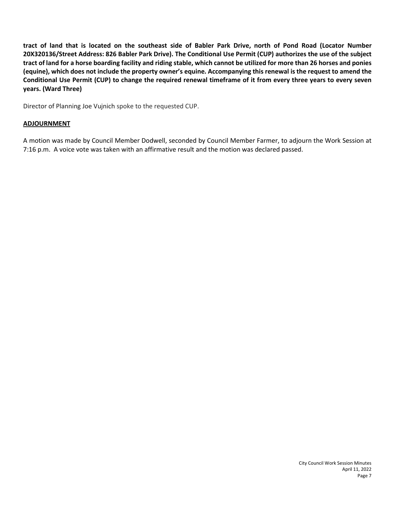**tract of land that is located on the southeast side of Babler Park Drive, north of Pond Road (Locator Number 20X320136/Street Address: 826 Babler Park Drive). The Conditional Use Permit (CUP) authorizes the use of the subject tract of land for a horse boarding facility and riding stable, which cannot be utilized for more than 26 horses and ponies (equine), which does not include the property owner's equine. Accompanying this renewal is the request to amend the Conditional Use Permit (CUP) to change the required renewal timeframe of it from every three years to every seven years. (Ward Three)**

Director of Planning Joe Vujnich spoke to the requested CUP.

#### **ADJOURNMENT**

A motion was made by Council Member Dodwell, seconded by Council Member Farmer, to adjourn the Work Session at 7:16 p.m. A voice vote was taken with an affirmative result and the motion was declared passed.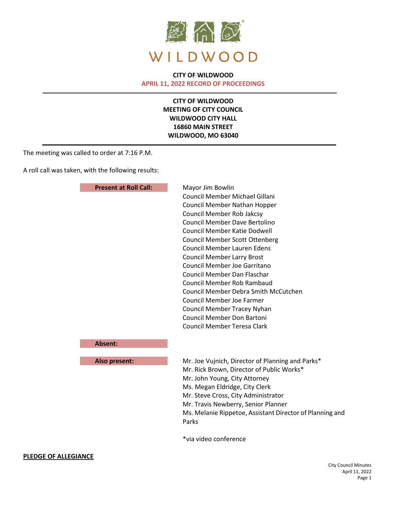

## **CITY OF WILDWOOD**

**APRIL 11, 2022 RECORD OF PROCEEDINGS**

**CITY OF WILDWOOD MEETING OF CITY COUNCIL WILDWOOD CITY HALL 16860 MAIN STREET WILDWOOD, MO 63040**

The meeting was called to order at 7:16 P.M.

A roll call was taken, with the following results:

|                 | <b>Present at Roll Call:</b><br>Mayor Jim Bowlin |                                                          |  |
|-----------------|--------------------------------------------------|----------------------------------------------------------|--|
|                 |                                                  | Council Member Michael Gillani                           |  |
|                 |                                                  | Council Member Nathan Hopper                             |  |
|                 |                                                  | <b>Council Member Rob Jakcsy</b>                         |  |
|                 |                                                  | <b>Council Member Dave Bertolino</b>                     |  |
|                 |                                                  | Council Member Katie Dodwell                             |  |
|                 |                                                  | <b>Council Member Scott Ottenberg</b>                    |  |
|                 |                                                  | <b>Council Member Lauren Edens</b>                       |  |
|                 |                                                  | <b>Council Member Larry Brost</b>                        |  |
|                 |                                                  | Council Member Joe Garritano                             |  |
|                 |                                                  | Council Member Dan Flaschar                              |  |
|                 |                                                  | <b>Council Member Rob Rambaud</b>                        |  |
|                 |                                                  | <b>Council Member Debra Smith McCutchen</b>              |  |
|                 |                                                  | <b>Council Member Joe Farmer</b>                         |  |
|                 |                                                  | Council Member Tracey Nyhan                              |  |
|                 |                                                  | <b>Council Member Don Bartoni</b>                        |  |
|                 |                                                  | <b>Council Member Teresa Clark</b>                       |  |
|                 | <b>Absent:</b>                                   |                                                          |  |
|                 | Also present:                                    | Mr. Joe Vujnich, Director of Planning and Parks*         |  |
|                 |                                                  | Mr. Rick Brown, Director of Public Works*                |  |
|                 |                                                  | Mr. John Young, City Attorney                            |  |
|                 |                                                  | Ms. Megan Eldridge, City Clerk                           |  |
|                 |                                                  | Mr. Steve Cross, City Administrator                      |  |
|                 |                                                  | Mr. Travis Newberry, Senior Planner                      |  |
|                 |                                                  | Ms. Melanie Rippetoe, Assistant Director of Planning and |  |
|                 |                                                  | Parks                                                    |  |
|                 |                                                  | *via video conference                                    |  |
| <b>LEGIANCE</b> |                                                  |                                                          |  |

#### **PLEDGE OF ALL**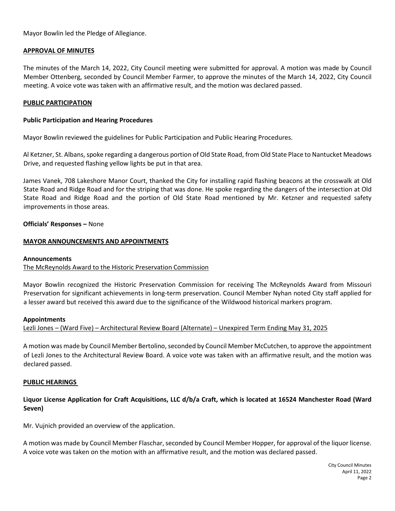Mayor Bowlin led the Pledge of Allegiance.

#### **APPROVAL OF MINUTES**

The minutes of the March 14, 2022, City Council meeting were submitted for approval. A motion was made by Council Member Ottenberg, seconded by Council Member Farmer, to approve the minutes of the March 14, 2022, City Council meeting. A voice vote was taken with an affirmative result, and the motion was declared passed.

#### **PUBLIC PARTICIPATION**

#### **Public Participation and Hearing Procedures**

Mayor Bowlin reviewed the guidelines for Public Participation and Public Hearing Procedures.

Al Ketzner, St. Albans, spoke regarding a dangerous portion of Old State Road, from Old State Place to Nantucket Meadows Drive, and requested flashing yellow lights be put in that area.

James Vanek, 708 Lakeshore Manor Court, thanked the City for installing rapid flashing beacons at the crosswalk at Old State Road and Ridge Road and for the striping that was done. He spoke regarding the dangers of the intersection at Old State Road and Ridge Road and the portion of Old State Road mentioned by Mr. Ketzner and requested safety improvements in those areas.

**Officials' Responses –** None

#### **MAYOR ANNOUNCEMENTS AND APPOINTMENTS**

#### **Announcements**

The McReynolds Award to the Historic Preservation Commission

Mayor Bowlin recognized the Historic Preservation Commission for receiving The McReynolds Award from Missouri Preservation for significant achievements in long-term preservation. Council Member Nyhan noted City staff applied for a lesser award but received this award due to the significance of the Wildwood historical markers program.

#### **Appointments**

Lezli Jones – (Ward Five) – Architectural Review Board (Alternate) – Unexpired Term Ending May 31, 2025

A motion was made by Council Member Bertolino, seconded by Council Member McCutchen, to approve the appointment of Lezli Jones to the Architectural Review Board. A voice vote was taken with an affirmative result, and the motion was declared passed.

#### **PUBLIC HEARINGS**

### **Liquor License Application for Craft Acquisitions, LLC d/b/a Craft, which is located at 16524 Manchester Road (Ward Seven)**

Mr. Vujnich provided an overview of the application.

A motion was made by Council Member Flaschar, seconded by Council Member Hopper, for approval of the liquor license. A voice vote was taken on the motion with an affirmative result, and the motion was declared passed.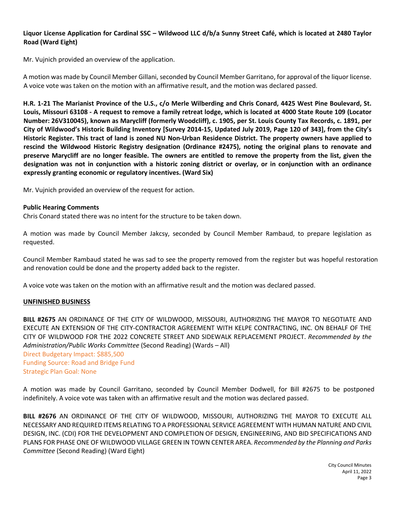### **Liquor License Application for Cardinal SSC – Wildwood LLC d/b/a Sunny Street Café, which is located at 2480 Taylor Road (Ward Eight)**

Mr. Vujnich provided an overview of the application.

A motion was made by Council Member Gillani, seconded by Council Member Garritano, for approval of the liquor license. A voice vote was taken on the motion with an affirmative result, and the motion was declared passed.

**H.R. 1-21 The Marianist Province of the U.S., c/o Merle Wilberding and Chris Conard, 4425 West Pine Boulevard, St. Louis, Missouri 63108 - A request to remove a family retreat lodge, which is located at 4000 State Route 109 (Locator Number: 26V310045), known as Marycliff (formerly Woodcliff), c. 1905, per St. Louis County Tax Records, c. 1891, per City of Wildwood's Historic Building Inventory [Survey 2014-15, Updated July 2019, Page 120 of 343], from the City's Historic Register. This tract of land is zoned NU Non-Urban Residence District. The property owners have applied to rescind the Wildwood Historic Registry designation (Ordinance #2475), noting the original plans to renovate and preserve Marycliff are no longer feasible. The owners are entitled to remove the property from the list, given the designation was not in conjunction with a historic zoning district or overlay, or in conjunction with an ordinance expressly granting economic or regulatory incentives. (Ward Six)**

Mr. Vujnich provided an overview of the request for action.

#### **Public Hearing Comments**

Chris Conard stated there was no intent for the structure to be taken down.

A motion was made by Council Member Jakcsy, seconded by Council Member Rambaud, to prepare legislation as requested.

Council Member Rambaud stated he was sad to see the property removed from the register but was hopeful restoration and renovation could be done and the property added back to the register.

A voice vote was taken on the motion with an affirmative result and the motion was declared passed.

#### **UNFINISHED BUSINESS**

**BILL #2675** AN ORDINANCE OF THE CITY OF WILDWOOD, MISSOURI, AUTHORIZING THE MAYOR TO NEGOTIATE AND EXECUTE AN EXTENSION OF THE CITY-CONTRACTOR AGREEMENT WITH KELPE CONTRACTING, INC. ON BEHALF OF THE CITY OF WILDWOOD FOR THE 2022 CONCRETE STREET AND SIDEWALK REPLACEMENT PROJECT. *Recommended by the Administration/Public Works Committee* (Second Reading) (Wards – All) Direct Budgetary Impact: \$885,500 Funding Source: Road and Bridge Fund Strategic Plan Goal: None

A motion was made by Council Garritano, seconded by Council Member Dodwell, for Bill #2675 to be postponed indefinitely. A voice vote was taken with an affirmative result and the motion was declared passed.

**BILL #2676** AN ORDINANCE OF THE CITY OF WILDWOOD, MISSOURI, AUTHORIZING THE MAYOR TO EXECUTE ALL NECESSARY AND REQUIRED ITEMS RELATING TO A PROFESSIONAL SERVICE AGREEMENT WITH HUMAN NATURE AND CIVIL DESIGN, INC. (CDI) FOR THE DEVELOPMENT AND COMPLETION OF DESIGN, ENGINEERING, AND BID SPECIFICATIONS AND PLANS FOR PHASE ONE OF WILDWOOD VILLAGE GREEN IN TOWN CENTER AREA. *Recommended by the Planning and Parks Committee* (Second Reading) (Ward Eight)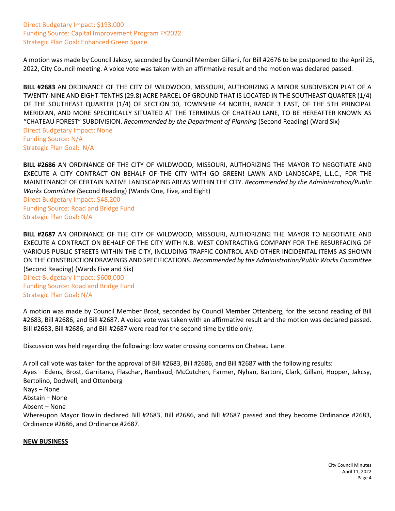Direct Budgetary Impact: \$193,000 Funding Source: Capital Improvement Program FY2022 Strategic Plan Goal: Enhanced Green Space

A motion was made by Council Jakcsy, seconded by Council Member Gillani, for Bill #2676 to be postponed to the April 25, 2022, City Council meeting. A voice vote was taken with an affirmative result and the motion was declared passed.

**BILL #2683** AN ORDINANCE OF THE CITY OF WILDWOOD, MISSOURI, AUTHORIZING A MINOR SUBDIVISION PLAT OF A TWENTY-NINE AND EIGHT-TENTHS (29.8) ACRE PARCEL OF GROUND THAT IS LOCATED IN THE SOUTHEAST QUARTER (1/4) OF THE SOUTHEAST QUARTER (1/4) OF SECTION 30, TOWNSHIP 44 NORTH, RANGE 3 EAST, OF THE 5TH PRINCIPAL MERIDIAN, AND MORE SPECIFICALLY SITUATED AT THE TERMINUS OF CHATEAU LANE, TO BE HEREAFTER KNOWN AS "CHATEAU FOREST" SUBDIVISION. *Recommended by the Department of Planning* (Second Reading) (Ward Six) Direct Budgetary Impact: None Funding Source: N/A Strategic Plan Goal: N/A

**BILL #2686** AN ORDINANCE OF THE CITY OF WILDWOOD, MISSOURI, AUTHORIZING THE MAYOR TO NEGOTIATE AND EXECUTE A CITY CONTRACT ON BEHALF OF THE CITY WITH GO GREEN! LAWN AND LANDSCAPE, L.L.C., FOR THE MAINTENANCE OF CERTAIN NATIVE LANDSCAPING AREAS WITHIN THE CITY. *Recommended by the Administration/Public Works Committee* (Second Reading) (Wards One, Five, and Eight)

Direct Budgetary Impact: \$48,200 Funding Source: Road and Bridge Fund Strategic Plan Goal: N/A

**BILL #2687** AN ORDINANCE OF THE CITY OF WILDWOOD, MISSOURI, AUTHORIZING THE MAYOR TO NEGOTIATE AND EXECUTE A CONTRACT ON BEHALF OF THE CITY WITH N.B. WEST CONTRACTING COMPANY FOR THE RESURFACING OF VARIOUS PUBLIC STREETS WITHIN THE CITY, INCLUDING TRAFFIC CONTROL AND OTHER INCIDENTAL ITEMS AS SHOWN ON THE CONSTRUCTION DRAWINGS AND SPECIFICATIONS. *Recommended by the Administration/Public Works Committee*  (Second Reading) (Wards Five and Six)

Direct Budgetary Impact: \$600,000 Funding Source: Road and Bridge Fund Strategic Plan Goal: N/A

A motion was made by Council Member Brost, seconded by Council Member Ottenberg, for the second reading of Bill #2683, Bill #2686, and Bill #2687. A voice vote was taken with an affirmative result and the motion was declared passed. Bill #2683, Bill #2686, and Bill #2687 were read for the second time by title only.

Discussion was held regarding the following: low water crossing concerns on Chateau Lane.

A roll call vote was taken for the approval of Bill #2683, Bill #2686, and Bill #2687 with the following results: Ayes – Edens, Brost, Garritano, Flaschar, Rambaud, McCutchen, Farmer, Nyhan, Bartoni, Clark, Gillani, Hopper, Jakcsy, Bertolino, Dodwell, and Ottenberg Nays – None Abstain – None Absent – None Whereupon Mayor Bowlin declared Bill #2683, Bill #2686, and Bill #2687 passed and they become Ordinance #2683, Ordinance #2686, and Ordinance #2687.

#### **NEW BUSINESS**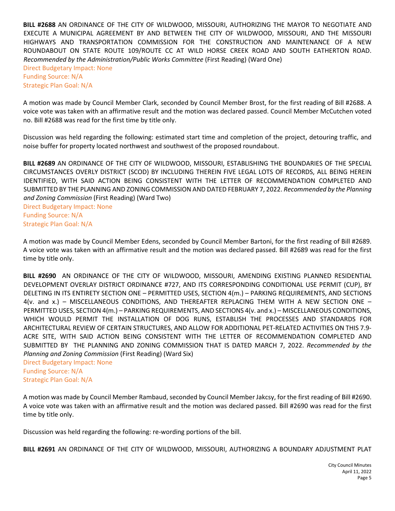**BILL #2688** AN ORDINANCE OF THE CITY OF WILDWOOD, MISSOURI, AUTHORIZING THE MAYOR TO NEGOTIATE AND EXECUTE A MUNICIPAL AGREEMENT BY AND BETWEEN THE CITY OF WILDWOOD, MISSOURI, AND THE MISSOURI HIGHWAYS AND TRANSPORTATION COMMISSION FOR THE CONSTRUCTION AND MAINTENANCE OF A NEW ROUNDABOUT ON STATE ROUTE 109/ROUTE CC AT WILD HORSE CREEK ROAD AND SOUTH EATHERTON ROAD. *Recommended by the Administration/Public Works Committee* (First Reading) (Ward One)

Direct Budgetary Impact: None Funding Source: N/A Strategic Plan Goal: N/A

A motion was made by Council Member Clark, seconded by Council Member Brost, for the first reading of Bill #2688. A voice vote was taken with an affirmative result and the motion was declared passed. Council Member McCutchen voted no. Bill #2688 was read for the first time by title only.

Discussion was held regarding the following: estimated start time and completion of the project, detouring traffic, and noise buffer for property located northwest and southwest of the proposed roundabout.

**BILL #2689** AN ORDINANCE OF THE CITY OF WILDWOOD, MISSOURI, ESTABLISHING THE BOUNDARIES OF THE SPECIAL CIRCUMSTANCES OVERLY DISTRICT (SCOD) BY INCLUDING THEREIN FIVE LEGAL LOTS OF RECORDS, ALL BEING HEREIN IDENTIFIED, WITH SAID ACTION BEING CONSISTENT WITH THE LETTER OF RECOMMENDATION COMPLETED AND SUBMITTED BY THE PLANNING AND ZONING COMMISSION AND DATED FEBRUARY 7, 2022. *Recommended by the Planning and Zoning Commission* (First Reading) (Ward Two) Direct Budgetary Impact: None Funding Source: N/A

Strategic Plan Goal: N/A

A motion was made by Council Member Edens, seconded by Council Member Bartoni, for the first reading of Bill #2689. A voice vote was taken with an affirmative result and the motion was declared passed. Bill #2689 was read for the first time by title only.

**BILL #2690** AN ORDINANCE OF THE CITY OF WILDWOOD, MISSOURI, AMENDING EXISTING PLANNED RESIDENTIAL DEVELOPMENT OVERLAY DISTRICT ORDINANCE #727, AND ITS CORRESPONDING CONDITIONAL USE PERMIT (CUP), BY DELETING IN ITS ENTIRETY SECTION ONE – PERMITTED USES, SECTION 4(m.) – PARKING REQUIREMENTS, AND SECTIONS 4(v. and x.) – MISCELLANEOUS CONDITIONS, AND THEREAFTER REPLACING THEM WITH A NEW SECTION ONE – PERMITTED USES, SECTION 4(m.) – PARKING REQUIREMENTS, AND SECTIONS 4(v. and x.) – MISCELLANEOUS CONDITIONS, WHICH WOULD PERMIT THE INSTALLATION OF DOG RUNS, ESTABLISH THE PROCESSES AND STANDARDS FOR ARCHITECTURAL REVIEW OF CERTAIN STRUCTURES, AND ALLOW FOR ADDITIONAL PET-RELATED ACTIVITIES ON THIS 7.9- ACRE SITE, WITH SAID ACTION BEING CONSISTENT WITH THE LETTER OF RECOMMENDATION COMPLETED AND SUBMITTED BY THE PLANNING AND ZONING COMMISSION THAT IS DATED MARCH 7, 2022. *Recommended by the Planning and Zoning Commission* (First Reading) (Ward Six)

Direct Budgetary Impact: None Funding Source: N/A Strategic Plan Goal: N/A

A motion was made by Council Member Rambaud, seconded by Council Member Jakcsy, for the first reading of Bill #2690. A voice vote was taken with an affirmative result and the motion was declared passed. Bill #2690 was read for the first time by title only.

Discussion was held regarding the following: re-wording portions of the bill.

**BILL #2691** AN ORDINANCE OF THE CITY OF WILDWOOD, MISSOURI, AUTHORIZING A BOUNDARY ADJUSTMENT PLAT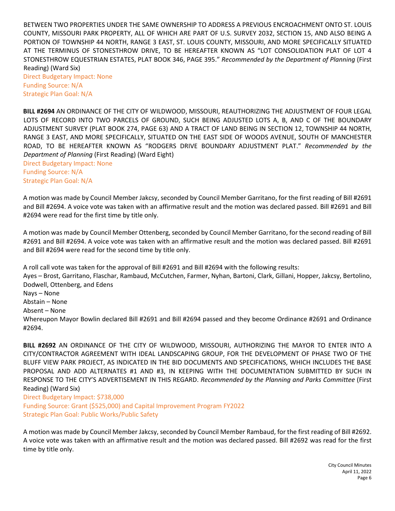BETWEEN TWO PROPERTIES UNDER THE SAME OWNERSHIP TO ADDRESS A PREVIOUS ENCROACHMENT ONTO ST. LOUIS COUNTY, MISSOURI PARK PROPERTY, ALL OF WHICH ARE PART OF U.S. SURVEY 2032, SECTION 15, AND ALSO BEING A PORTION OF TOWNSHIP 44 NORTH, RANGE 3 EAST, ST. LOUIS COUNTY, MISSOURI, AND MORE SPECIFICALLY SITUATED AT THE TERMINUS OF STONESTHROW DRIVE, TO BE HEREAFTER KNOWN AS "LOT CONSOLIDATION PLAT OF LOT 4 STONESTHROW EQUESTRIAN ESTATES, PLAT BOOK 346, PAGE 395." *Recommended by the Department of Planning* (First Reading) (Ward Six)

Direct Budgetary Impact: None Funding Source: N/A Strategic Plan Goal: N/A

**BILL #2694** AN ORDINANCE OF THE CITY OF WILDWOOD, MISSOURI, REAUTHORIZING THE ADJUSTMENT OF FOUR LEGAL LOTS OF RECORD INTO TWO PARCELS OF GROUND, SUCH BEING ADJUSTED LOTS A, B, AND C OF THE BOUNDARY ADJUSTMENT SURVEY (PLAT BOOK 274, PAGE 63) AND A TRACT OF LAND BEING IN SECTION 12, TOWNSHIP 44 NORTH, RANGE 3 EAST, AND MORE SPECIFICALLY, SITUATED ON THE EAST SIDE OF WOODS AVENUE, SOUTH OF MANCHESTER ROAD, TO BE HEREAFTER KNOWN AS "RODGERS DRIVE BOUNDARY ADJUSTMENT PLAT." *Recommended by the Department of Planning* (First Reading) (Ward Eight)

Direct Budgetary Impact: None Funding Source: N/A Strategic Plan Goal: N/A

A motion was made by Council Member Jakcsy, seconded by Council Member Garritano, for the first reading of Bill #2691 and Bill #2694. A voice vote was taken with an affirmative result and the motion was declared passed. Bill #2691 and Bill #2694 were read for the first time by title only.

A motion was made by Council Member Ottenberg, seconded by Council Member Garritano, for the second reading of Bill #2691 and Bill #2694. A voice vote was taken with an affirmative result and the motion was declared passed. Bill #2691 and Bill #2694 were read for the second time by title only.

A roll call vote was taken for the approval of Bill #2691 and Bill #2694 with the following results: Ayes – Brost, Garritano, Flaschar, Rambaud, McCutchen, Farmer, Nyhan, Bartoni, Clark, Gillani, Hopper, Jakcsy, Bertolino, Dodwell, Ottenberg, and Edens Nays – None Abstain – None Absent – None Whereupon Mayor Bowlin declared Bill #2691 and Bill #2694 passed and they become Ordinance #2691 and Ordinance #2694.

**BILL #2692** AN ORDINANCE OF THE CITY OF WILDWOOD, MISSOURI, AUTHORIZING THE MAYOR TO ENTER INTO A CITY/CONTRACTOR AGREEMENT WITH IDEAL LANDSCAPING GROUP, FOR THE DEVELOPMENT OF PHASE TWO OF THE BLUFF VIEW PARK PROJECT, AS INDICATED IN THE BID DOCUMENTS AND SPECIFICATIONS, WHICH INCLUDES THE BASE PROPOSAL AND ADD ALTERNATES #1 AND #3, IN KEEPING WITH THE DOCUMENTATION SUBMITTED BY SUCH IN RESPONSE TO THE CITY'S ADVERTISEMENT IN THIS REGARD. *Recommended by the Planning and Parks Committee* (First Reading) (Ward Six)

Direct Budgetary Impact: \$738,000 Funding Source: Grant (\$525,000) and Capital Improvement Program FY2022 Strategic Plan Goal: Public Works/Public Safety

A motion was made by Council Member Jakcsy, seconded by Council Member Rambaud, for the first reading of Bill #2692. A voice vote was taken with an affirmative result and the motion was declared passed. Bill #2692 was read for the first time by title only.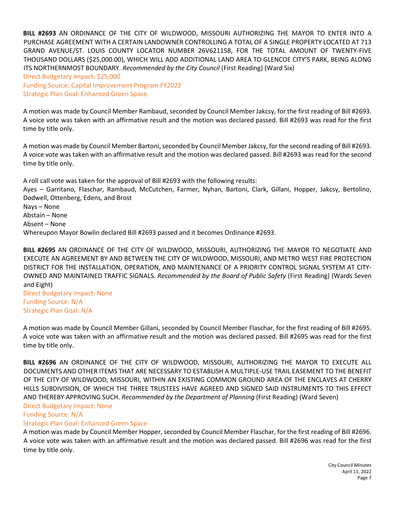**BILL #2693** AN ORDINANCE OF THE CITY OF WILDWOOD, MISSOURI AUTHORIZING THE MAYOR TO ENTER INTO A PURCHASE AGREEMENT WITH A CERTAIN LANDOWNER CONTROLLING A TOTAL OF A SINGLE PROPERTY LOCATED AT 713 GRAND AVENUE/ST. LOUIS COUNTY LOCATOR NUMBER 26V621158, FOR THE TOTAL AMOUNT OF TWENTY-FIVE THOUSAND DOLLARS (\$25,000.00), WHICH WILL ADD ADDITIONAL LAND AREA TO GLENCOE CITY'S PARK, BEING ALONG ITS NORTHERNMOST BOUNDARY. *Recommended by the City Council* (First Reading) (Ward Six)

Direct Budgetary Impact: \$25,000 Funding Source: Capital Improvement Program FY2022 Strategic Plan Goal: Enhanced Green Space

A motion was made by Council Member Rambaud, seconded by Council Member Jakcsy, for the first reading of Bill #2693. A voice vote was taken with an affirmative result and the motion was declared passed. Bill #2693 was read for the first time by title only.

A motion was made by Council Member Bartoni, seconded by Council Member Jakcsy, for the second reading of Bill #2693. A voice vote was taken with an affirmative result and the motion was declared passed. Bill #2693 was read for the second time by title only.

A roll call vote was taken for the approval of Bill #2693 with the following results:

Ayes – Garritano, Flaschar, Rambaud, McCutchen, Farmer, Nyhan, Bartoni, Clark, Gillani, Hopper, Jakcsy, Bertolino, Dodwell, Ottenberg, Edens, and Brost Nays – None Abstain – None Absent – None Whereupon Mayor Bowlin declared Bill #2693 passed and it becomes Ordinance #2693.

**BILL #2695** AN ORDINANCE OF THE CITY OF WILDWOOD, MISSOURI, AUTHORIZING THE MAYOR TO NEGOTIATE AND EXECUTE AN AGREEMENT BY AND BETWEEN THE CITY OF WILDWOOD, MISSOURI, AND METRO WEST FIRE PROTECTION DISTRICT FOR THE INSTALLATION, OPERATION, AND MAINTENANCE OF A PRIORITY CONTROL SIGNAL SYSTEM AT CITY-OWNED AND MAINTAINED TRAFFIC SIGNALS. *Recommended by the Board of Public Safety* (First Reading) (Wards Seven and Eight)

Direct Budgetary Impact: None Funding Source: N/A Strategic Plan Goal: N/A

A motion was made by Council Member Gillani, seconded by Council Member Flaschar, for the first reading of Bill #2695. A voice vote was taken with an affirmative result and the motion was declared passed. Bill #2695 was read for the first time by title only.

**BILL #2696** AN ORDINANCE OF THE CITY OF WILDWOOD, MISSOURI, AUTHORIZING THE MAYOR TO EXECUTE ALL DOCUMENTS AND OTHER ITEMS THAT ARE NECESSARY TO ESTABLISH A MULTIPLE-USE TRAIL EASEMENT TO THE BENEFIT OF THE CITY OF WILDWOOD, MISSOURI, WITHIN AN EXISTING COMMON GROUND AREA OF THE ENCLAVES AT CHERRY HILLS SUBDIVISION, OF WHICH THE THREE TRUSTEES HAVE AGREED AND SIGNED SAID INSTRUMENTS TO THIS EFFECT AND THEREBY APPROVING SUCH. *Recommended by the Department of Planning* (First Reading) (Ward Seven) Direct Budgetary Impact: None

## Funding Source: N/A

## Strategic Plan Goal: Enhanced Green Space

A motion was made by Council Member Hopper, seconded by Council Member Flaschar, for the first reading of Bill #2696. A voice vote was taken with an affirmative result and the motion was declared passed. Bill #2696 was read for the first time by title only.